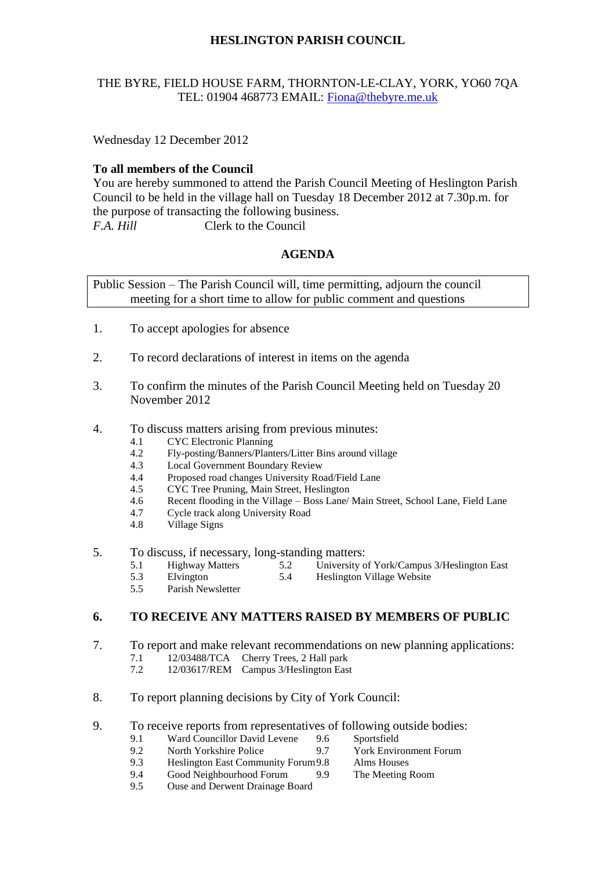# **HESLINGTON PARISH COUNCIL**

### THE BYRE, FIELD HOUSE FARM, THORNTON-LE-CLAY, YORK, YO60 7QA TEL: 01904 468773 EMAIL: [Fiona@thebyre.me.uk](mailto:Fiona@thebyre.me.uk)

Wednesday 12 December 2012

#### **To all members of the Council**

You are hereby summoned to attend the Parish Council Meeting of Heslington Parish Council to be held in the village hall on Tuesday 18 December 2012 at 7.30p.m. for the purpose of transacting the following business. *F.A. Hill* Clerk to the Council

## **AGENDA**

Public Session – The Parish Council will, time permitting, adjourn the council meeting for a short time to allow for public comment and questions

- 1. To accept apologies for absence
- 2. To record declarations of interest in items on the agenda
- 3. To confirm the minutes of the Parish Council Meeting held on Tuesday 20 November 2012
- 4. To discuss matters arising from previous minutes:
	- 4.1 CYC Electronic Planning
	- 4.2 Fly-posting/Banners/Planters/Litter Bins around village
	- 4.3 Local Government Boundary Review
	- 4.4 Proposed road changes University Road/Field Lane
	- 4.5 CYC Tree Pruning, Main Street, Heslington
	- 4.6 Recent flooding in the Village Boss Lane/ Main Street, School Lane, Field Lane
	- 4.7 Cycle track along University Road
	- 4.8 Village Signs
- 5. To discuss, if necessary, long-standing matters:
	- 5.1 Highway Matters 5.2 University of York/Campus 3/Heslington East
	- 5.3 Elvington 5.4 Heslington Village Website
	- 5.5 Parish Newsletter

## **6. TO RECEIVE ANY MATTERS RAISED BY MEMBERS OF PUBLIC**

- 7. To report and make relevant recommendations on new planning applications:
	- 7.1 12/03488/TCA Cherry Trees, 2 Hall park
	- 7.2 12/03617/REM Campus 3/Heslington East
- 8. To report planning decisions by City of York Council:
- 9. To receive reports from representatives of following outside bodies:
	- 9.1 Ward Councillor David Levene 9.6 Sportsfield
	- 9.2 North Yorkshire Police 9.7 York Environment Forum
	- 9.3 Heslington East Community Forum9.8 Alms Houses
	- 9.4 Good Neighbourhood Forum 9.9 The Meeting Room
	- 9.5 Ouse and Derwent Drainage Board